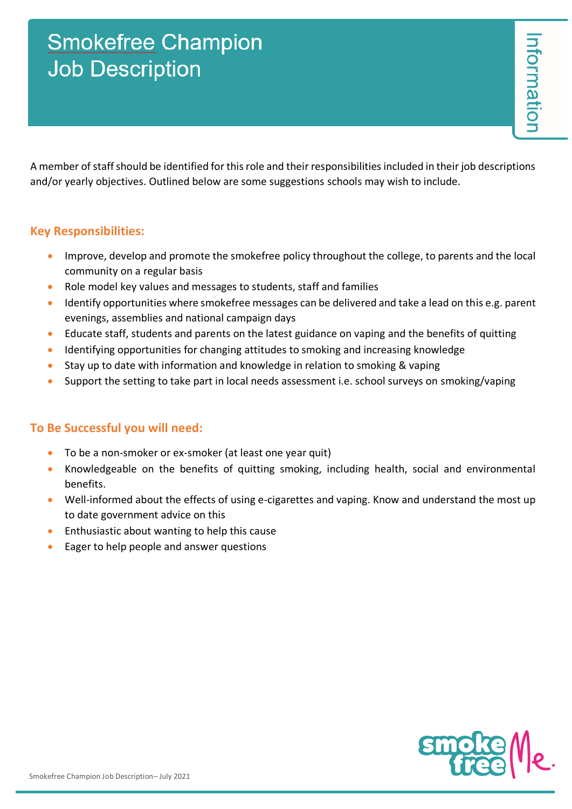## **Smokefree Champion Job Description**

A member of staff should be identified for this role and their responsibilities included in their job descriptions and/or yearly objectives. Outlined below are some suggestions schools may wish to include.

## **Key Responsibilities:**

- Improve, develop and promote the smokefree policy throughout the college, to parents and the local community on a regular basis
- Role model key values and messages to students, staff and families
- Identify opportunities where smokefree messages can be delivered and take a lead on this e.g. parent evenings, assemblies and national campaign days
- Educate staff, students and parents on the latest guidance on vaping and the benefits of quitting
- Identifying opportunities for changing attitudes to smoking and increasing knowledge
- Stay up to date with information and knowledge in relation to smoking & vaping
- Support the setting to take part in local needs assessment i.e. school surveys on smoking/vaping

## **To Be Successful you will need:**

- To be a non-smoker or ex-smoker (at least one year quit)
- Knowledgeable on the benefits of quitting smoking, including health, social and environmental benefits.
- Well-informed about the effects of using e-cigarettes and vaping. Know and understand the most up to date government advice on this
- Enthusiastic about wanting to help this cause
- Eager to help people and answer questions